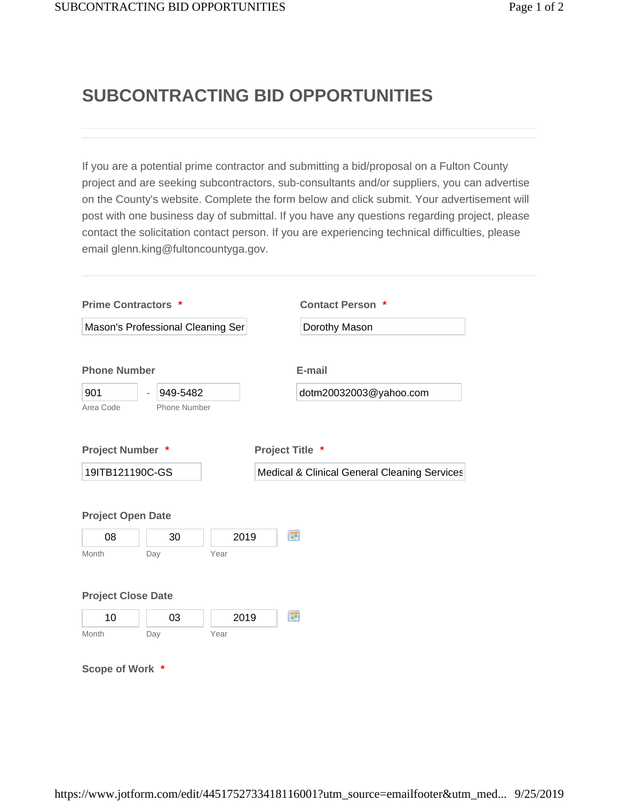## **SUBCONTRACTING BID OPPORTUNITIES**

If you are a potential prime contractor and submitting a bid/proposal on a Fulton County project and are seeking subcontractors, sub-consultants and/or suppliers, you can advertise on the County's website. Complete the form below and click submit. Your advertisement will post with one business day of submittal. If you have any questions regarding project, please contact the solicitation contact person. If you are experiencing technical difficulties, please email glenn.king@fultoncountyga.gov.